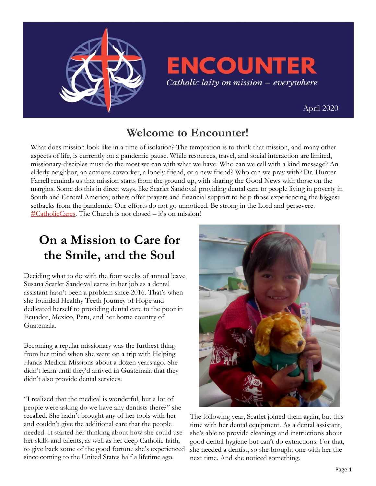

**ENCOUNTER** Catholic laity on mission - everywhere

 [April 2020](https://uscatholicmission.org/encounter)

### **Welcome to Encounter!**

What does mission look like in a time of isolation? The temptation is to think that mission, and many other aspects of life, is currently on a pandemic pause. While resources, travel, and social interaction are limited, missionary-disciples must do the most we can with what we have. Who can we call with a kind message? An elderly neighbor, an anxious coworker, a lonely friend, or a new friend? Who can we pray with? Dr. Hunter Farrell reminds us that mission starts from the ground up, with sharing the Good News with those on the margins. Some do this in direct ways, like Scarlet Sandoval providing dental care to people living in poverty in South and Central America; others offer prayers and financial support to help those experiencing the biggest setbacks from the pandemic. Our efforts do not go unnoticed. Be strong in the Lord and persevere. [#CatholicCares.](https://twitter.com/hashtag/catholiccares?ref_src=twsrc%5Egoogle%7Ctwcamp%5Eserp%7Ctwgr%5Ehashtag) The Church is not closed – it's on mission!

## **On a Mission to Care for the Smile, and the Soul**

Deciding what to do with the four weeks of annual leave Susana Scarlet Sandoval earns in her job as a dental assistant hasn't been a problem since 2016. That's when she founded Healthy Teeth Journey of Hope and dedicated herself to providing dental care to the poor in Ecuador, Mexico, Peru, and her home country of Guatemala.

Becoming a regular missionary was the furthest thing from her mind when she went on a trip with Helping Hands Medical Missions about a dozen years ago. She didn't learn until they'd arrived in Guatemala that they didn't also provide dental services.

"I realized that the medical is wonderful, but a lot of people were asking do we have any dentists there?" she recalled. She hadn't brought any of her tools with her and couldn't give the additional care that the people needed. It started her thinking about how she could use her skills and talents, as well as her deep Catholic faith, to give back some of the good fortune she's experienced since coming to the United States half a lifetime ago.



The following year, Scarlet joined them again, but this time with her dental equipment. As a dental assistant, she's able to provide cleanings and instructions about good dental hygiene but can't do extractions. For that, she needed a dentist, so she brought one with her the next time. And she noticed something.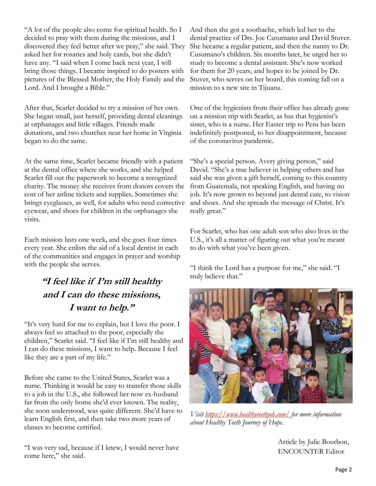"A lot of the people also come for spiritual health. So I decided to pray with them during the missions, and I discovered they feel better after we pray," she said. They asked her for rosaries and holy cards, but she didn't have any. "I said when I come back next year, I will bring those things. I became inspired to do posters with pictures of the Blessed Mother, the Holy Family and the Lord. And I brought a Bible."

After that, Scarlet decided to try a mission of her own. She began small, just herself, providing dental cleanings at orphanages and little villages. Friends made donations, and two churches near her home in Virginia began to do the same.

At the same time, Scarlet became friendly with a patient at the dental office where she works, and she helped Scarlet fill out the paperwork to become a recognized charity. The money she receives from donors covers the cost of her airline tickets and supplies. Sometimes she brings eyeglasses, as well, for adults who need corrective eyewear, and shoes for children in the orphanages she visits.

Each mission lasts one week, and she goes four times every year. She enlists the aid of a local dentist in each of the communities and engages in prayer and worship with the people she serves.

#### **"I feel like if I'm still healthy and I can do these missions, I want to help."**

"It's very hard for me to explain, but I love the poor. I always feel so attached to the poor, especially the children," Scarlet said. "I feel like if I'm still healthy and I can do these missions, I want to help. Because I feel like they are a part of my life."

Before she came to the United States, Scarlet was a nurse. Thinking it would be easy to transfer those skills to a job in the U.S., she followed her now ex-husband far from the only home she'd ever known. The reality, she soon understood, was quite different. She'd have to learn English first, and then take two more years of classes to become certified.

"I was very sad, because if I knew, I would never have come here," she said.

And then she got a toothache, which led her to the dental practice of Drs. Joe Cusumano and David Stuver. She became a regular patient, and then the nanny to Dr. Cusumano's children. Six months later, he urged her to study to become a dental assistant. She's now worked for them for 20 years, and hopes to be joined by Dr. Stuver, who serves on her board, this coming fall on a mission to a new site in Tijuana.

One of the hygienists from their office has already gone on a mission trip with Scarlet, as has that hygienist's sister, who is a nurse. Her Easter trip to Peru has been indefinitely postponed, to her disappointment, because of the coronavirus pandemic.

"She's a special person. Avery giving person," said David. "She's a true believer in helping others and has said she was given a gift herself, coming to this country from Guatemala, not speaking English, and having no job. It's now grown to beyond just dental care, to vision and shoes. And she spreads the message of Christ. It's really great."

For Scarlet, who has one adult son who also lives in the U.S., it's all a matter of figuring out what you're meant to do with what you've been given.

"I think the Lord has a purpose for me," she said. "I truly believe that."



*Visit<https://www.healthyteethjoh.com/> for more information about Healthy Teeth Journey of Hope.* 

Article by Julie Bourbon, ENCOUNTER Editor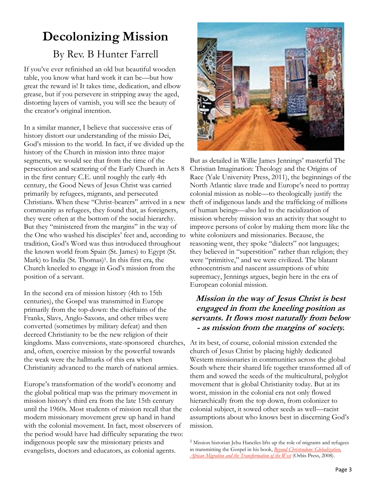## **Decolonizing Mission**

#### By Rev. B Hunter Farrell

If you've ever refinished an old but beautiful wooden table, you know what hard work it can be—but how great the reward is! It takes time, dedication, and elbow grease, but if you persevere in stripping away the aged, distorting layers of varnish, you will see the beauty of the creator's original intention.

In a similar manner, I believe that successive eras of history distort our understanding of the missio Dei, God's mission to the world. In fact, if we divided up the history of the Church in mission into three major segments, we would see that from the time of the persecution and scattering of the Early Church in Acts 8 in the first century C.E. until roughly the early 4th century, the Good News of Jesus Christ was carried primarily by refugees, migrants, and persecuted Christians. When these "Christ-bearers" arrived in a new community as refugees, they found that, as foreigners, they were often at the bottom of the social hierarchy. But they "ministered from the margins" in the way of the One who washed his disciples' feet and, according to tradition, God's Word was thus introduced throughout the known world from Spain (St. James) to Egypt (St. Mark) to India (St. Thomas)<sup>1</sup>. In this first era, the Church kneeled to engage in God's mission from the position of a servant.

In the second era of mission history (4th to 15th centuries), the Gospel was transmitted in Europe primarily from the top-down: the chieftains of the Franks, Slavs, Anglo-Saxons, and other tribes were converted (sometimes by military defeat) and then decreed Christianity to be the new religion of their kingdoms. Mass conversions, state-sponsored churches, and, often, coercive mission by the powerful towards the weak were the hallmarks of this era when Christianity advanced to the march of national armies.

Europe's transformation of the world's economy and the global political map was the primary movement in mission history's third era from the late 15th century until the 1960s. Most students of mission recall that the modern missionary movement grew up hand in hand with the colonial movement. In fact, most observers of the period would have had difficulty separating the two: indigenous people saw the missionary priests and evangelists, doctors and educators, as colonial agents.



But as detailed in Willie James Jennings' masterful The Christian Imagination: Theology and the Origins of Race (Yale University Press, 2011), the beginnings of the North Atlantic slave trade and Europe's need to portray colonial mission as noble—to theologically justify the theft of indigenous lands and the trafficking of millions of human beings—also led to the racialization of mission whereby mission was an activity that sought to improve persons of color by making them more like the white colonizers and missionaries. Because, the reasoning went, they spoke "dialects" not languages; they believed in "superstition" rather than religion; they were "primitive," and we were civilized. The blatant ethnocentrism and nascent assumptions of white supremacy, Jennings argues, begin here in the era of European colonial mission.

#### **Mission in the way of Jesus Christ is best engaged in from the kneeling position as servants. It flows most naturally from below - as mission from the margins of society.**

At its best, of course, colonial mission extended the church of Jesus Christ by placing highly dedicated Western missionaries in communities across the global South where their shared life together transformed all of them and sowed the seeds of the multicultural, polyglot movement that is global Christianity today. But at its worst, mission in the colonial era not only flowed hierarchically from the top down, from colonizer to colonial subject, it sowed other seeds as well—racist assumptions about who knows best in discerning God's mission.

<sup>&</sup>lt;sup>1</sup> Mission historian Jehu Hanciles lifts up the role of migrants and refugees in transmitting the Gospel in his book, *[Beyond Christendom: Globalization,](https://www.orbisbooks.com/beyond-christendom.html)  [African Migration and the Transformation of the West](https://www.orbisbooks.com/beyond-christendom.html)* (Orbis Press, 2008).